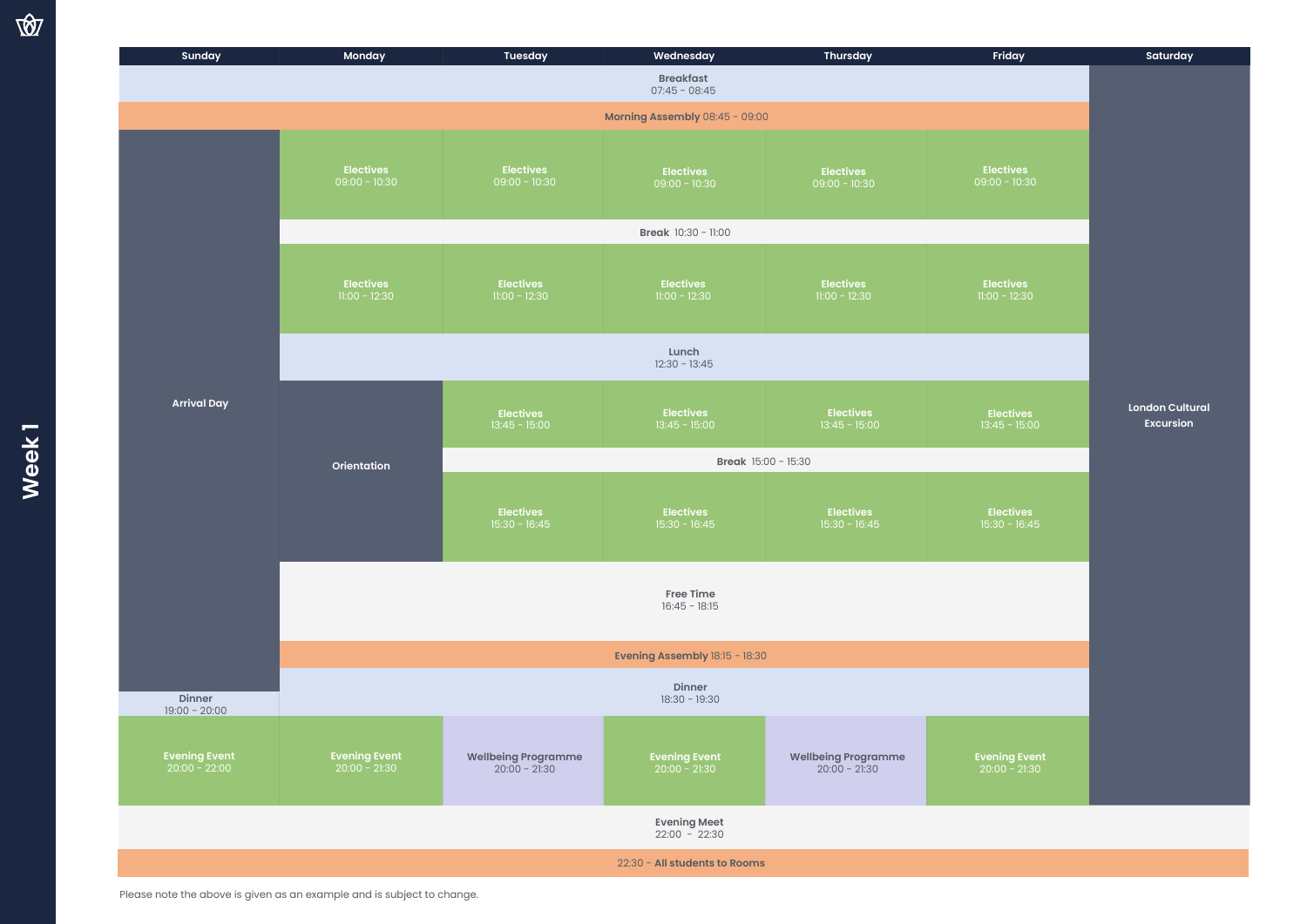| Sunday                                  | Monday                                  | <b>Tuesday</b>                                | Wednesday                               | <b>Thursday</b>                      | Friday                                  | Saturday                                   |
|-----------------------------------------|-----------------------------------------|-----------------------------------------------|-----------------------------------------|--------------------------------------|-----------------------------------------|--------------------------------------------|
| <b>Breakfast</b><br>$07:45 - 08:45$     |                                         |                                               |                                         |                                      |                                         |                                            |
| Morning Assembly 08:45 - 09:00          |                                         |                                               |                                         |                                      |                                         |                                            |
| <b>Arrival Day</b>                      | <b>Electives</b><br>$09:00 - 10:30$     | <b>Electives</b><br>$09:00 - 10:30$           | <b>Electives</b><br>$09:00 - 10:30$     | <b>Electives</b><br>$09:00 - 10:30$  | <b>Electives</b><br>$09:00 - 10:30$     |                                            |
|                                         | Break 10:30 - 11:00                     |                                               |                                         |                                      |                                         |                                            |
|                                         | <b>Electives</b><br>$11:00 - 12:30$     | <b>Electives</b><br>$11:00 - 12:30$           | <b>Electives</b><br>$11:00 - 12:30$     | <b>Electives</b><br>$11:00 - 12:30$  | <b>Electives</b><br>$11:00 - 12:30$     |                                            |
|                                         | Lunch<br>$12:30 - 13:45$                |                                               |                                         |                                      |                                         |                                            |
|                                         | Orientation                             | <b>Electives</b><br>$13:45 - 15:00$           | <b>Electives</b><br>$13:45 - 15:00$     | <b>Electives</b><br>$13:45 - 15:00$  | <b>Electives</b><br>$13:45 - 15:00$     | <b>London Cultural</b><br><b>Excursion</b> |
|                                         |                                         | Break 15:00 - 15:30                           |                                         |                                      |                                         |                                            |
|                                         |                                         | <b>Electives</b><br>$15:30 - 16:45$           | <b>Electives</b><br>$15:30 - 16:45$     | <b>Electives</b><br>$15:30 - 16:45$  | <b>Electives</b><br>$15:30 - 16:45$     |                                            |
|                                         | Free Time<br>$16:45 - 18:15$            |                                               |                                         |                                      |                                         |                                            |
|                                         | Evening Assembly 18:15 - 18:30          |                                               |                                         |                                      |                                         |                                            |
| Dinner<br>$19:00 - 20:00$               |                                         |                                               | Dinner<br>$18:30 - 19:30$               |                                      |                                         |                                            |
| <b>Evening Event</b><br>$20:00 - 22:00$ | <b>Evening Event</b><br>$20:00 - 21:30$ | <b>Wellbeing Programme</b><br>$20:00 - 21:30$ | <b>Evening Event</b><br>$20:00 - 21:30$ | Wellbeing Programme<br>20:00 - 21:30 | <b>Evening Event</b><br>$20:00 - 21:30$ |                                            |
|                                         |                                         |                                               | <b>Evening Meet</b><br>$22:00 - 22:30$  |                                      |                                         |                                            |
|                                         |                                         |                                               | 22:30 - All students to Rooms           |                                      |                                         |                                            |
|                                         |                                         |                                               |                                         |                                      |                                         |                                            |